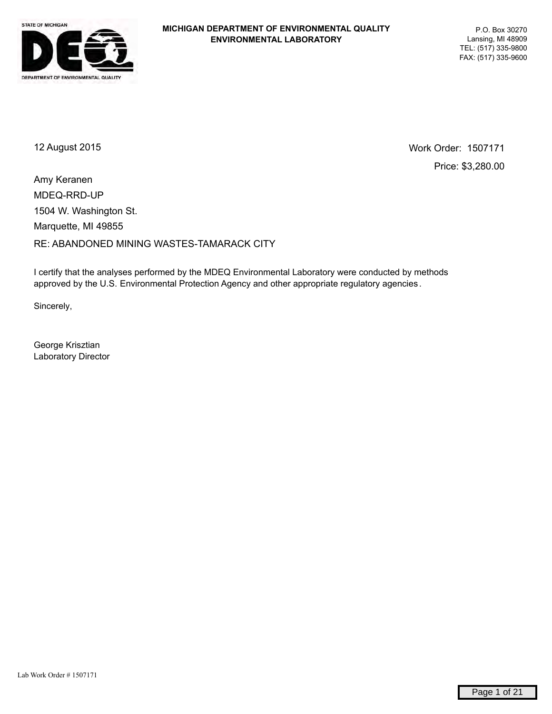

12 August 2015 Work Order: 1507171 Price: \$3,280.00

MDEQ-RRD-UP RE: ABANDONED MINING WASTES-TAMARACK CITY Marquette, MI 49855 1504 W. Washington St. Amy Keranen

I certify that the analyses performed by the MDEQ Environmental Laboratory were conducted by methods approved by the U.S. Environmental Protection Agency and other appropriate regulatory agencies .

Sincerely,

George Krisztian Laboratory Director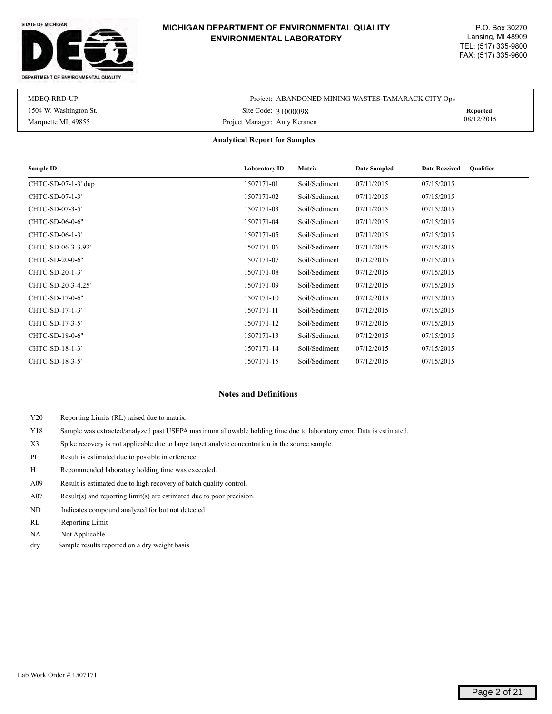#### STATE OF MICHIGAN



#### **MICHIGAN DEPARTMENT OF ENVIRONMENTAL QUALITY ENVIRONMENTAL LABORATORY**

| MDEO-RRD-UP            | Project: ABANDONED MINING WASTES-TAMARACK CITY Ops |            |
|------------------------|----------------------------------------------------|------------|
| 1504 W. Washington St. | Site Code: 31000098                                | Reported:  |
| Marquette MI, 49855    | Project Manager: Amy Keranen                       | 08/12/2015 |

#### **Analytical Report for Samples**

| Sample ID           | <b>Laboratory ID</b> | <b>Matrix</b> | <b>Date Sampled</b> | Qualifier<br><b>Date Received</b> |
|---------------------|----------------------|---------------|---------------------|-----------------------------------|
| CHTC-SD-07-1-3' dup | 1507171-01           | Soil/Sediment | 07/11/2015          | 07/15/2015                        |
| CHTC-SD-07-1-3'     | 1507171-02           | Soil/Sediment | 07/11/2015          | 07/15/2015                        |
| CHTC-SD-07-3-5'     | 1507171-03           | Soil/Sediment | 07/11/2015          | 07/15/2015                        |
| CHTC-SD-06-0-6"     | 1507171-04           | Soil/Sediment | 07/11/2015          | 07/15/2015                        |
| CHTC-SD-06-1-3'     | 1507171-05           | Soil/Sediment | 07/11/2015          | 07/15/2015                        |
| CHTC-SD-06-3-3.92'  | 1507171-06           | Soil/Sediment | 07/11/2015          | 07/15/2015                        |
| CHTC-SD-20-0-6"     | 1507171-07           | Soil/Sediment | 07/12/2015          | 07/15/2015                        |
| CHTC-SD-20-1-3'     | 1507171-08           | Soil/Sediment | 07/12/2015          | 07/15/2015                        |
| CHTC-SD-20-3-4.25'  | 1507171-09           | Soil/Sediment | 07/12/2015          | 07/15/2015                        |
| CHTC-SD-17-0-6"     | 1507171-10           | Soil/Sediment | 07/12/2015          | 07/15/2015                        |
| CHTC-SD-17-1-3'     | 1507171-11           | Soil/Sediment | 07/12/2015          | 07/15/2015                        |
| CHTC-SD-17-3-5'     | 1507171-12           | Soil/Sediment | 07/12/2015          | 07/15/2015                        |
| CHTC-SD-18-0-6"     | 1507171-13           | Soil/Sediment | 07/12/2015          | 07/15/2015                        |
| CHTC-SD-18-1-3'     | 1507171-14           | Soil/Sediment | 07/12/2015          | 07/15/2015                        |
| CHTC-SD-18-3-5'     | 1507171-15           | Soil/Sediment | 07/12/2015          | 07/15/2015                        |

#### **Notes and Definitions**

- Y20 Reporting Limits (RL) raised due to matrix.
- Y18 Sample was extracted/analyzed past USEPA maximum allowable holding time due to laboratory error. Data is estimated.
- X3 Spike recovery is not applicable due to large target analyte concentration in the source sample.
- PI Result is estimated due to possible interference.
- H Recommended laboratory holding time was exceeded.
- A09 Result is estimated due to high recovery of batch quality control.
- A07 Result(s) and reporting limit(s) are estimated due to poor precision.
- ND Indicates compound analyzed for but not detected
- RL Reporting Limit
- NA Not Applicable
- dry Sample results reported on a dry weight basis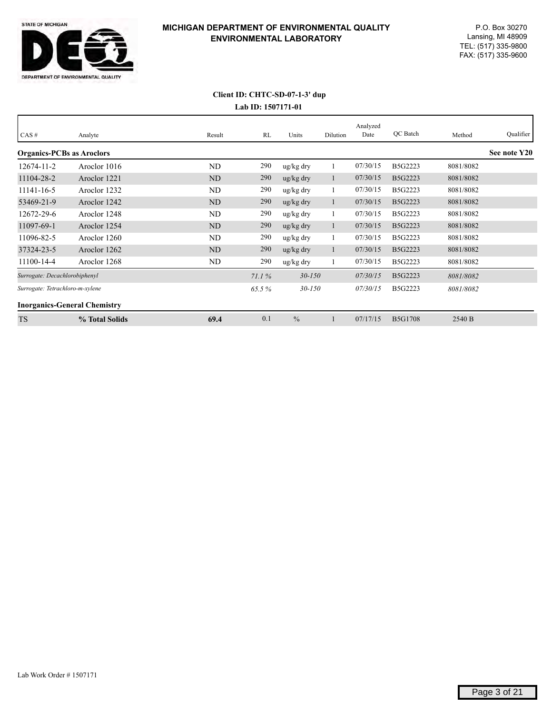

#### **Lab ID: 1507171-01 Client ID: CHTC-SD-07-1-3' dup**

| CAS#                                | Analyte        | Result    | RL    | Units         | Dilution | Analyzed<br>Date | QC Batch       | Method    | Qualifier    |
|-------------------------------------|----------------|-----------|-------|---------------|----------|------------------|----------------|-----------|--------------|
|                                     |                |           |       |               |          |                  |                |           |              |
| <b>Organics-PCBs as Aroclors</b>    |                |           |       |               |          |                  |                |           | See note Y20 |
| 12674-11-2                          | Aroclor 1016   | <b>ND</b> | 290   | ug/kg dry     |          | 07/30/15         | B5G2223        | 8081/8082 |              |
| 11104-28-2                          | Aroclor 1221   | <b>ND</b> | 290   | ug/kg dry     |          | 07/30/15         | B5G2223        | 8081/8082 |              |
| 11141-16-5                          | Aroclor 1232   | ND        | 290   | ug/kg dry     |          | 07/30/15         | B5G2223        | 8081/8082 |              |
| 53469-21-9                          | Aroclor 1242   | ND        | 290   | ug/kg dry     | -1       | 07/30/15         | B5G2223        | 8081/8082 |              |
| 12672-29-6                          | Aroclor 1248   | ND        | 290   | ug/kg dry     |          | 07/30/15         | B5G2223        | 8081/8082 |              |
| 11097-69-1                          | Aroclor 1254   | ND        | 290   | ug/kg dry     |          | 07/30/15         | B5G2223        | 8081/8082 |              |
| 11096-82-5                          | Aroclor 1260   | ND        | 290   | ug/kg dry     |          | 07/30/15         | B5G2223        | 8081/8082 |              |
| 37324-23-5                          | Aroclor 1262   | ND        | 290   | ug/kg dry     | 1        | 07/30/15         | B5G2223        | 8081/8082 |              |
| 11100-14-4                          | Aroclor 1268   | ND        | 290   | ug/kg dry     |          | 07/30/15         | B5G2223        | 8081/8082 |              |
| Surrogate: Decachlorobiphenyl       |                |           | 71.1% | $30 - 150$    |          | 07/30/15         | B5G2223        | 8081/8082 |              |
| Surrogate: Tetrachloro-m-xylene     |                |           | 65.5% | $30 - 150$    |          | 07/30/15         | B5G2223        | 8081/8082 |              |
| <b>Inorganics-General Chemistry</b> |                |           |       |               |          |                  |                |           |              |
| <b>TS</b>                           | % Total Solids | 69.4      | 0.1   | $\frac{0}{0}$ |          | 07/17/15         | <b>B5G1708</b> | 2540 B    |              |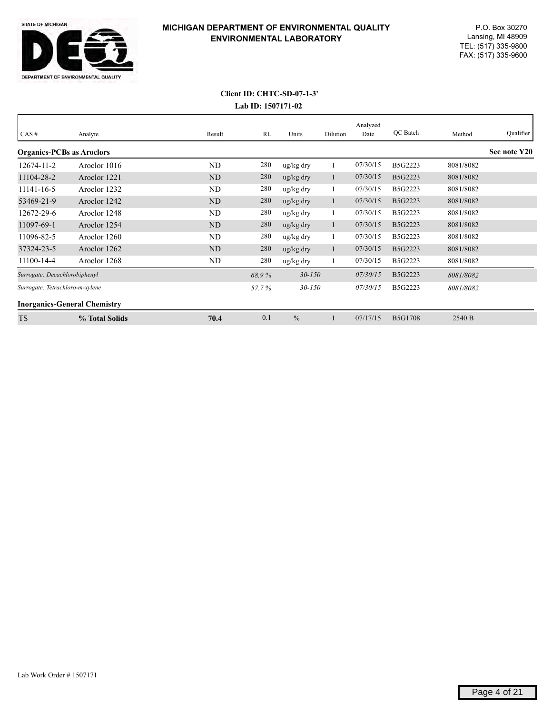

#### **Lab ID: 1507171-02 Client ID: CHTC-SD-07-1-3'**

| CAS#                                | Analyte        | Result    | RL    | Units                 | Dilution | Analyzed<br>Date | OC Batch       | Method    | Qualifier    |
|-------------------------------------|----------------|-----------|-------|-----------------------|----------|------------------|----------------|-----------|--------------|
| <b>Organics-PCBs as Aroclors</b>    |                |           |       |                       |          |                  |                |           | See note Y20 |
| 12674-11-2                          | Aroclor 1016   | ND        | 280   | ug/kg dry             |          | 07/30/15         | B5G2223        | 8081/8082 |              |
| 11104-28-2                          | Aroclor 1221   | ND        | 280   | ug/kg dry             | -1       | 07/30/15         | B5G2223        | 8081/8082 |              |
| 11141-16-5                          | Aroclor 1232   | <b>ND</b> | 280   | ug/kg dry             |          | 07/30/15         | B5G2223        | 8081/8082 |              |
| 53469-21-9                          | Aroclor 1242   | <b>ND</b> | 280   | $\frac{u g}{k g}$ dry |          | 07/30/15         | B5G2223        | 8081/8082 |              |
| 12672-29-6                          | Aroclor 1248   | ND        | 280   | ug/kg dry             |          | 07/30/15         | B5G2223        | 8081/8082 |              |
| 11097-69-1                          | Aroclor 1254   | <b>ND</b> | 280   | ug/kg dry             |          | 07/30/15         | B5G2223        | 8081/8082 |              |
| 11096-82-5                          | Aroclor 1260   | ND        | 280   | ug/kg dry             |          | 07/30/15         | B5G2223        | 8081/8082 |              |
| 37324-23-5                          | Aroclor 1262   | ND        | 280   | ug/kg dry             |          | 07/30/15         | B5G2223        | 8081/8082 |              |
| 11100-14-4                          | Aroclor 1268   | ND        | 280   | ug/kg dry             |          | 07/30/15         | B5G2223        | 8081/8082 |              |
| Surrogate: Decachlorobiphenyl       |                |           | 68.9% | $30 - 150$            |          | 07/30/15         | B5G2223        | 8081/8082 |              |
| Surrogate: Tetrachloro-m-xylene     |                |           | 57.7% | $30 - 150$            |          | 07/30/15         | B5G2223        | 8081/8082 |              |
| <b>Inorganics-General Chemistry</b> |                |           |       |                       |          |                  |                |           |              |
| <b>TS</b>                           | % Total Solids | 70.4      | 0.1   | $\frac{0}{0}$         |          | 07/17/15         | <b>B5G1708</b> | 2540 B    |              |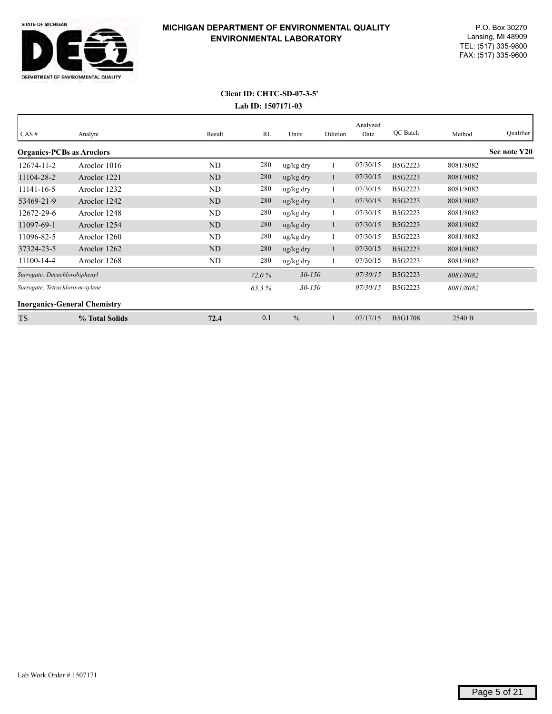

#### **Lab ID: 1507171-03 Client ID: CHTC-SD-07-3-5'**

| CAS#                                | Analyte        | Result    | RL    | Units                 | Dilution | Analyzed<br>Date | QC Batch       | Method    | Qualifier    |
|-------------------------------------|----------------|-----------|-------|-----------------------|----------|------------------|----------------|-----------|--------------|
| <b>Organics-PCBs as Aroclors</b>    |                |           |       |                       |          |                  |                |           | See note Y20 |
| $12674 - 11 - 2$                    | Aroclor 1016   | ND        | 280   | ug/kg dry             |          | 07/30/15         | B5G2223        | 8081/8082 |              |
| 11104-28-2                          | Aroclor 1221   | ND        | 280   | ug/kg dry             | $\perp$  | 07/30/15         | B5G2223        | 8081/8082 |              |
| 11141-16-5                          | Aroclor 1232   | ND        | 280   | ug/kg dry             |          | 07/30/15         | B5G2223        | 8081/8082 |              |
| 53469-21-9                          | Aroclor 1242   | ND        | 280   | ug/kg dry             | 1        | 07/30/15         | B5G2223        | 8081/8082 |              |
| 12672-29-6                          | Aroclor 1248   | ND        | 280   | ug/kg dry             |          | 07/30/15         | B5G2223        | 8081/8082 |              |
| 11097-69-1                          | Aroclor 1254   | <b>ND</b> | 280   | ug/kg dry             |          | 07/30/15         | B5G2223        | 8081/8082 |              |
| 11096-82-5                          | Aroclor 1260   | ND        | 280   | ug/kg dry             |          | 07/30/15         | B5G2223        | 8081/8082 |              |
| 37324-23-5                          | Aroclor 1262   | ND        | 280   | $\frac{u g}{k g}$ dry |          | 07/30/15         | B5G2223        | 8081/8082 |              |
| 11100-14-4                          | Aroclor 1268   | ND        | 280   | ug/kg dry             |          | 07/30/15         | B5G2223        | 8081/8082 |              |
| Surrogate: Decachlorobiphenyl       |                |           | 72.0% | $30 - 150$            |          | 07/30/15         | B5G2223        | 8081/8082 |              |
| Surrogate: Tetrachloro-m-xylene     |                |           | 63.3% | $30 - 150$            |          | 07/30/15         | B5G2223        | 8081/8082 |              |
| <b>Inorganics-General Chemistry</b> |                |           |       |                       |          |                  |                |           |              |
| <b>TS</b>                           | % Total Solids | 72.4      | 0.1   | $\frac{0}{0}$         |          | 07/17/15         | <b>B5G1708</b> | 2540 B    |              |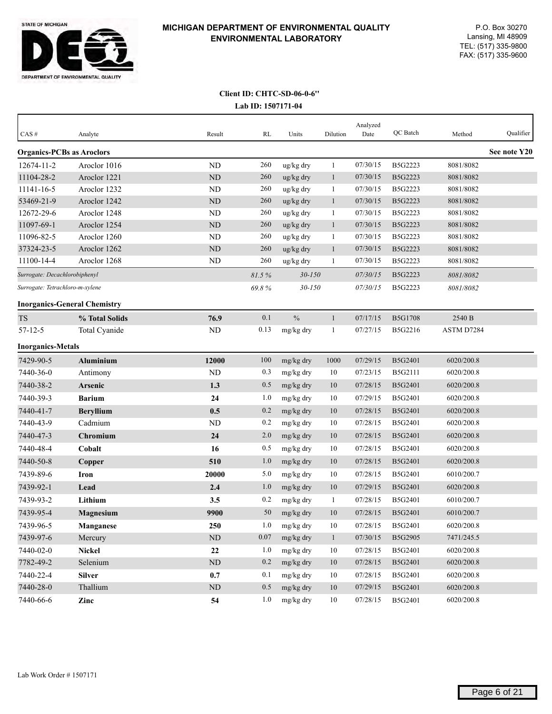

## **Lab ID: 1507171-04 Client ID: CHTC-SD-06-0-6''**

| CAS#                             | Analyte                             | Result    | RL      | Units         | Dilution     | Analyzed<br>Date | QC Batch       | Method     | Qualifier    |
|----------------------------------|-------------------------------------|-----------|---------|---------------|--------------|------------------|----------------|------------|--------------|
| <b>Organics-PCBs as Aroclors</b> |                                     |           |         |               |              |                  |                |            | See note Y20 |
| 12674-11-2                       | Aroclor 1016                        | <b>ND</b> | 260     | ug/kg dry     | 1            | 07/30/15         | B5G2223        | 8081/8082  |              |
| 11104-28-2                       | Aroclor 1221                        | <b>ND</b> | 260     | ug/kg dry     | 1            | 07/30/15         | B5G2223        | 8081/8082  |              |
| 11141-16-5                       | Aroclor 1232                        | <b>ND</b> | 260     | ug/kg dry     | 1            | 07/30/15         | B5G2223        | 8081/8082  |              |
| 53469-21-9                       | Aroclor 1242                        | <b>ND</b> | 260     | ug/kg dry     | $\mathbf{1}$ | 07/30/15         | B5G2223        | 8081/8082  |              |
| 12672-29-6                       | Aroclor 1248                        | <b>ND</b> | 260     | ug/kg dry     | $\mathbf{1}$ | 07/30/15         | B5G2223        | 8081/8082  |              |
| 11097-69-1                       | Aroclor 1254                        | <b>ND</b> | 260     | ug/kg dry     | $\mathbf{1}$ | 07/30/15         | B5G2223        | 8081/8082  |              |
| 11096-82-5                       | Aroclor 1260                        | <b>ND</b> | 260     | ug/kg dry     | -1           | 07/30/15         | B5G2223        | 8081/8082  |              |
| 37324-23-5                       | Aroclor 1262                        | <b>ND</b> | 260     | ug/kg dry     | 1            | 07/30/15         | B5G2223        | 8081/8082  |              |
| 11100-14-4                       | Aroclor 1268                        | <b>ND</b> | 260     | ug/kg dry     | 1            | 07/30/15         | B5G2223        | 8081/8082  |              |
| Surrogate: Decachlorobiphenyl    |                                     |           | 81.5%   | $30 - 150$    |              | 07/30/15         | B5G2223        | 8081/8082  |              |
| Surrogate: Tetrachloro-m-xylene  |                                     |           | 69.8%   | $30 - 150$    |              | <i>07/30/15</i>  | B5G2223        | 8081/8082  |              |
|                                  | <b>Inorganics-General Chemistry</b> |           |         |               |              |                  |                |            |              |
| TS                               | % Total Solids                      | 76.9      | 0.1     | $\frac{0}{0}$ | $\mathbf{1}$ | 07/17/15         | <b>B5G1708</b> | 2540 B     |              |
| $57 - 12 - 5$                    | Total Cyanide                       | <b>ND</b> | 0.13    | mg/kg dry     | 1            | 07/27/15         | B5G2216        | ASTM D7284 |              |
| <b>Inorganics-Metals</b>         |                                     |           |         |               |              |                  |                |            |              |
| 7429-90-5                        | <b>Aluminium</b>                    | 12000     | 100     | mg/kg dry     | 1000         | 07/29/15         | B5G2401        | 6020/200.8 |              |
| 7440-36-0                        | Antimony                            | <b>ND</b> | 0.3     | mg/kg dry     | 10           | 07/23/15         | B5G2111        | 6020/200.8 |              |
| 7440-38-2                        | Arsenic                             | 1.3       | 0.5     | mg/kg dry     | 10           | 07/28/15         | B5G2401        | 6020/200.8 |              |
| 7440-39-3                        | <b>Barium</b>                       | 24        | 1.0     | mg/kg dry     | 10           | 07/29/15         | B5G2401        | 6020/200.8 |              |
| 7440-41-7                        | <b>Beryllium</b>                    | 0.5       | 0.2     | mg/kg dry     | 10           | 07/28/15         | B5G2401        | 6020/200.8 |              |
| 7440-43-9                        | Cadmium                             | <b>ND</b> | 0.2     | mg/kg dry     | 10           | 07/28/15         | B5G2401        | 6020/200.8 |              |
| 7440-47-3                        | <b>Chromium</b>                     | 24        | 2.0     | mg/kg dry     | 10           | 07/28/15         | B5G2401        | 6020/200.8 |              |
| 7440-48-4                        | Cobalt                              | 16        | 0.5     | mg/kg dry     | 10           | 07/28/15         | B5G2401        | 6020/200.8 |              |
| 7440-50-8                        | Copper                              | 510       | 1.0     | mg/kg dry     | 10           | 07/28/15         | B5G2401        | 6020/200.8 |              |
| 7439-89-6                        | <b>Iron</b>                         | 20000     | 5.0     | mg/kg dry     | 10           | 07/28/15         | B5G2401        | 6010/200.7 |              |
| 7439-92-1                        | Lead                                | 2.4       | 1.0     | mg/kg dry     | 10           | 07/29/15         | B5G2401        | 6020/200.8 |              |
| 7439-93-2                        | Lithium                             | 3.5       | 0.2     | mg/kg dry     | -1           | 07/28/15         | B5G2401        | 6010/200.7 |              |
| 7439-95-4                        | <b>Magnesium</b>                    | 9900      | 50      | mg/kg dry     | 10           | 07/28/15         | B5G2401        | 6010/200.7 |              |
| 7439-96-5                        | Manganese                           | 250       | 1.0     | mg/kg dry     | 10           | 07/28/15         | B5G2401        | 6020/200.8 |              |
| 7439-97-6                        | Mercury                             | $\rm ND$  | 0.07    | mg/kg dry     | $\mathbf{1}$ | 07/30/15         | B5G2905        | 7471/245.5 |              |
| 7440-02-0                        | <b>Nickel</b>                       | 22        | 1.0     | mg/kg dry     | 10           | 07/28/15         | B5G2401        | 6020/200.8 |              |
| 7782-49-2                        | Selenium                            | ND        | 0.2     | mg/kg dry     | $10\,$       | 07/28/15         | B5G2401        | 6020/200.8 |              |
| 7440-22-4                        | <b>Silver</b>                       | 0.7       | 0.1     | mg/kg dry     | 10           | 07/28/15         | B5G2401        | 6020/200.8 |              |
| 7440-28-0                        | Thallium                            | ND        | $0.5\,$ | mg/kg dry     | $10\,$       | 07/29/15         | B5G2401        | 6020/200.8 |              |
| 7440-66-6                        | Zinc                                | 54        | 1.0     | mg/kg dry     | $10\,$       | 07/28/15         | B5G2401        | 6020/200.8 |              |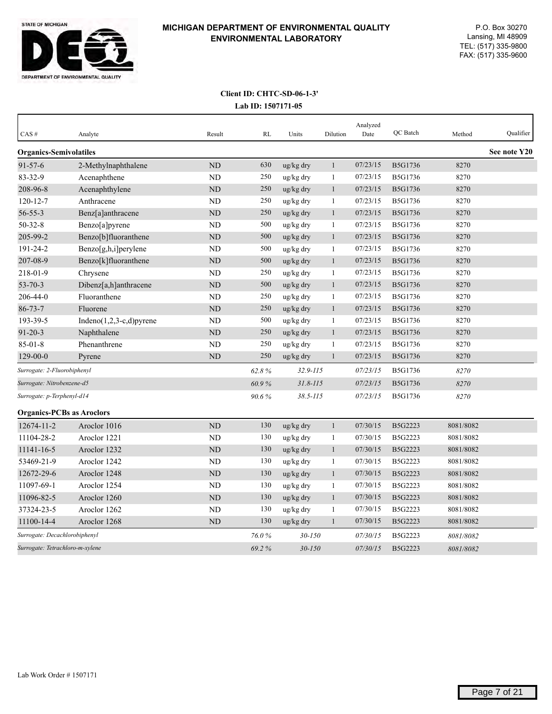

#### **Lab ID: 1507171-05 Client ID: CHTC-SD-06-1-3'**

| CAS#                             | Analyte                     | Result         | <b>RL</b> | Units                 | Dilution     | Analyzed<br>Date | QC Batch       | Method    | Qualifier    |
|----------------------------------|-----------------------------|----------------|-----------|-----------------------|--------------|------------------|----------------|-----------|--------------|
| <b>Organics-Semivolatiles</b>    |                             |                |           |                       |              |                  |                |           | See note Y20 |
| $91 - 57 - 6$                    | 2-Methylnaphthalene         | <b>ND</b>      | 630       | ug/kg dry             | $\mathbf{1}$ | 07/23/15         | B5G1736        | 8270      |              |
| 83-32-9                          | Acenaphthene                | <b>ND</b>      | 250       | ug/kg dry             | $\mathbf{1}$ | 07/23/15         | B5G1736        | 8270      |              |
| 208-96-8                         | Acenaphthylene              | <b>ND</b>      | 250       | ug/kg dry             | $\mathbf{1}$ | 07/23/15         | B5G1736        | 8270      |              |
| $120 - 12 - 7$                   | Anthracene                  | N <sub>D</sub> | 250       | ug/kg dry             | 1            | 07/23/15         | B5G1736        | 8270      |              |
| $56 - 55 - 3$                    | Benz[a]anthracene           | ND             | 250       | ug/kg dry             | $\mathbf{1}$ | 07/23/15         | B5G1736        | 8270      |              |
| $50 - 32 - 8$                    | Benzo[a]pyrene              | <b>ND</b>      | 500       | ug/kg dry             | 1            | 07/23/15         | B5G1736        | 8270      |              |
| 205-99-2                         | Benzo[b]fluoranthene        | ND             | 500       | ug/kg dry             | $\mathbf{1}$ | 07/23/15         | B5G1736        | 8270      |              |
| 191-24-2                         | Benzo[g,h,i]perylene        | <b>ND</b>      | 500       | ug/kg dry             | $\mathbf{1}$ | 07/23/15         | B5G1736        | 8270      |              |
| 207-08-9                         | Benzo[k]fluoranthene        | ND             | 500       | ug/kg dry             | $\mathbf{1}$ | 07/23/15         | B5G1736        | 8270      |              |
| 218-01-9                         | Chrysene                    | ND             | 250       | ug/kg dry             | $\mathbf{1}$ | 07/23/15         | <b>B5G1736</b> | 8270      |              |
| $53 - 70 - 3$                    | Dibenz[a,h]anthracene       | <b>ND</b>      | 500       | ug/kg dry             | $\mathbf{1}$ | 07/23/15         | B5G1736        | 8270      |              |
| 206-44-0                         | Fluoranthene                | <b>ND</b>      | 250       | ug/kg dry             | $\mathbf{1}$ | 07/23/15         | B5G1736        | 8270      |              |
| $86 - 73 - 7$                    | Fluorene                    | <b>ND</b>      | 250       | ug/kg dry             | $\mathbf{1}$ | 07/23/15         | <b>B5G1736</b> | 8270      |              |
| 193-39-5                         | Indeno $(1,2,3-c,d)$ pyrene | <b>ND</b>      | 500       | ug/kg dry             | $\mathbf{1}$ | 07/23/15         | <b>B5G1736</b> | 8270      |              |
| $91 - 20 - 3$                    | Naphthalene                 | ND             | 250       | ug/kg dry             | $\mathbf{1}$ | 07/23/15         | B5G1736        | 8270      |              |
| $85 - 01 - 8$                    | Phenanthrene                | <b>ND</b>      | 250       | ug/kg dry             | $\mathbf{1}$ | 07/23/15         | <b>B5G1736</b> | 8270      |              |
| $129 - 00 - 0$                   | Pyrene                      | <b>ND</b>      | 250       | $\frac{u g}{k g}$ dry | $\mathbf{1}$ | 07/23/15         | <b>B5G1736</b> | 8270      |              |
| Surrogate: 2-Fluorobiphenyl      |                             |                | 62.8%     | $32.9 - 115$          |              | 07/23/15         | B5G1736        | 8270      |              |
| Surrogate: Nitrobenzene-d5       |                             |                | 60.9%     | $31.8 - 115$          |              | 07/23/15         | B5G1736        | 8270      |              |
| Surrogate: p-Terphenyl-d14       |                             |                | 90.6%     | $38.5 - 115$          |              | 07/23/15         | <b>B5G1736</b> | 8270      |              |
| <b>Organics-PCBs as Aroclors</b> |                             |                |           |                       |              |                  |                |           |              |
| 12674-11-2                       | Aroclor 1016                | <b>ND</b>      | 130       | ug/kg dry             | $\mathbf{1}$ | 07/30/15         | B5G2223        | 8081/8082 |              |
| 11104-28-2                       | Aroclor 1221                | N <sub>D</sub> | 130       | ug/kg dry             | $\mathbf{1}$ | 07/30/15         | B5G2223        | 8081/8082 |              |
| 11141-16-5                       | Aroclor 1232                | <b>ND</b>      | 130       | ug/kg dry             | $\mathbf{1}$ | 07/30/15         | B5G2223        | 8081/8082 |              |
| 53469-21-9                       | Aroclor 1242                | ND             | 130       | ug/kg dry             | -1           | 07/30/15         | B5G2223        | 8081/8082 |              |
| 12672-29-6                       | Aroclor 1248                | <b>ND</b>      | 130       | ug/kg dry             | $\mathbf{1}$ | 07/30/15         | B5G2223        | 8081/8082 |              |
| 11097-69-1                       | Aroclor 1254                | <b>ND</b>      | 130       | ug/kg dry             | 1            | 07/30/15         | B5G2223        | 8081/8082 |              |
| 11096-82-5                       | Aroclor 1260                | ND             | 130       | ug/kg dry             | $\mathbf{1}$ | 07/30/15         | B5G2223        | 8081/8082 |              |
| 37324-23-5                       | Aroclor 1262                | ND             | 130       | ug/kg dry             | $\mathbf{1}$ | 07/30/15         | B5G2223        | 8081/8082 |              |
| 11100-14-4                       | Aroclor 1268                | N <sub>D</sub> | 130       | $\frac{u g}{k g}$ dry | $\mathbf{1}$ | 07/30/15         | B5G2223        | 8081/8082 |              |
| Surrogate: Decachlorobiphenyl    |                             |                | 76.0%     | $30 - 150$            |              | 07/30/15         | B5G2223        | 8081/8082 |              |
| Surrogate: Tetrachloro-m-xylene  |                             |                | 69.2%     | $30 - 150$            |              | 07/30/15         | B5G2223        | 8081/8082 |              |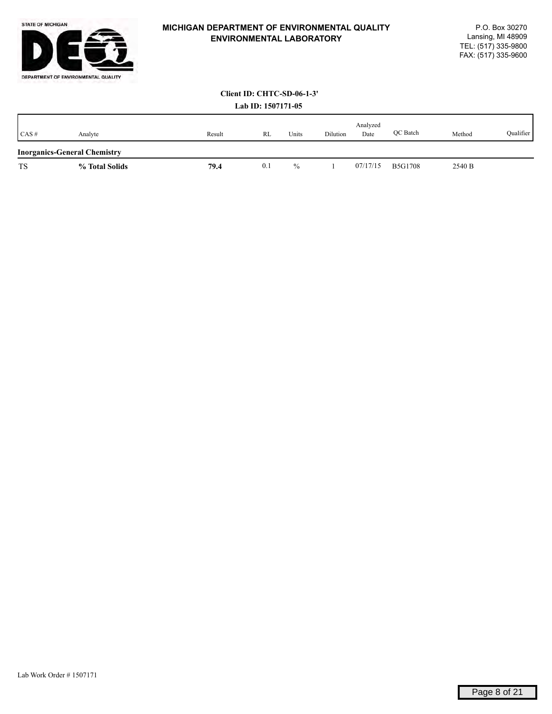

#### **Lab ID: 1507171-05 Client ID: CHTC-SD-06-1-3'**

|      |                                     |        | $140 \text{ H} \cdot 150111100$ |               |          |                  |                |        |           |
|------|-------------------------------------|--------|---------------------------------|---------------|----------|------------------|----------------|--------|-----------|
| CAS# | Analyte                             | Result | RL                              | Units         | Dilution | Analyzed<br>Date | QC Batch       | Method | Qualifier |
|      | <b>Inorganics-General Chemistry</b> |        |                                 |               |          |                  |                |        |           |
| TS   | % Total Solids                      | 79.4   | 0.1                             | $\frac{0}{0}$ |          | 07/17/15         | <b>B5G1708</b> | 2540 B |           |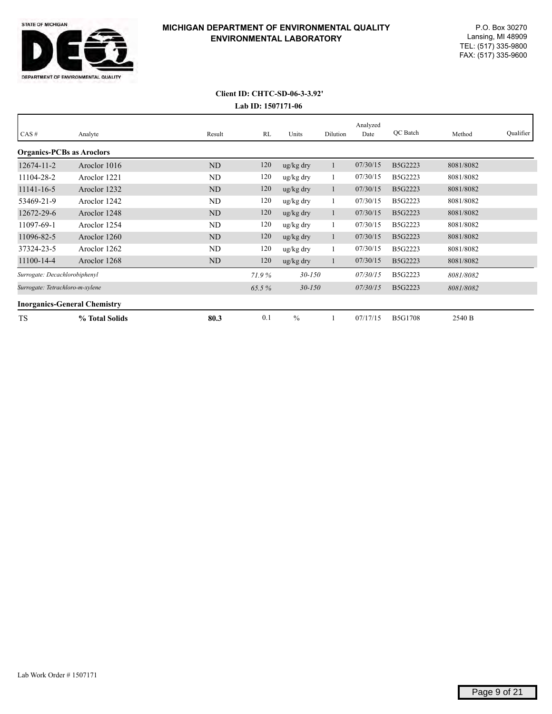

## **Lab ID: 1507171-06 Client ID: CHTC-SD-06-3-3.92'**

| CAS#                                | Analyte        | Result | RL    | Units                 | Dilution | Analyzed<br>Date | QC Batch       | Method    | Qualifier |
|-------------------------------------|----------------|--------|-------|-----------------------|----------|------------------|----------------|-----------|-----------|
|                                     |                |        |       |                       |          |                  |                |           |           |
| <b>Organics-PCBs as Aroclors</b>    |                |        |       |                       |          |                  |                |           |           |
| $12674 - 11 - 2$                    | Aroclor 1016   | ND     | 120   | $\frac{u g}{k g}$ dry |          | 07/30/15         | B5G2223        | 8081/8082 |           |
| 11104-28-2                          | Aroclor 1221   | ND     | 120   | ug/kg dry             |          | 07/30/15         | B5G2223        | 8081/8082 |           |
| 11141-16-5                          | Aroclor 1232   | ND     | 120   | $\frac{u g}{k g}$ dry |          | 07/30/15         | B5G2223        | 8081/8082 |           |
| 53469-21-9                          | Aroclor 1242   | ND     | 120   | ug/kg dry             |          | 07/30/15         | <b>B5G2223</b> | 8081/8082 |           |
| 12672-29-6                          | Aroclor 1248   | ND     | 120   | $\frac{u g}{k g}$ dry |          | 07/30/15         | B5G2223        | 8081/8082 |           |
| 11097-69-1                          | Aroclor 1254   | ND     | 120   | ug/kg dry             |          | 07/30/15         | B5G2223        | 8081/8082 |           |
| 11096-82-5                          | Aroclor 1260   | ND     | 120   | $\frac{u g}{k g}$ dry |          | 07/30/15         | B5G2223        | 8081/8082 |           |
| 37324-23-5                          | Aroclor 1262   | ND     | 120   | ug/kg dry             |          | 07/30/15         | B5G2223        | 8081/8082 |           |
| 11100-14-4                          | Aroclor 1268   | ND     | 120   | $\frac{u g}{k g}$ dry |          | 07/30/15         | B5G2223        | 8081/8082 |           |
| Surrogate: Decachlorobiphenyl       |                |        | 71.9% | $30 - 150$            |          | 07/30/15         | <b>B5G2223</b> | 8081/8082 |           |
| Surrogate: Tetrachloro-m-xylene     |                |        | 65.5% | $30 - 150$            |          | 07/30/15         | B5G2223        | 8081/8082 |           |
| <b>Inorganics-General Chemistry</b> |                |        |       |                       |          |                  |                |           |           |
| <b>TS</b>                           | % Total Solids | 80.3   | 0.1   | $\frac{0}{0}$         |          | 07/17/15         | <b>B5G1708</b> | 2540 B    |           |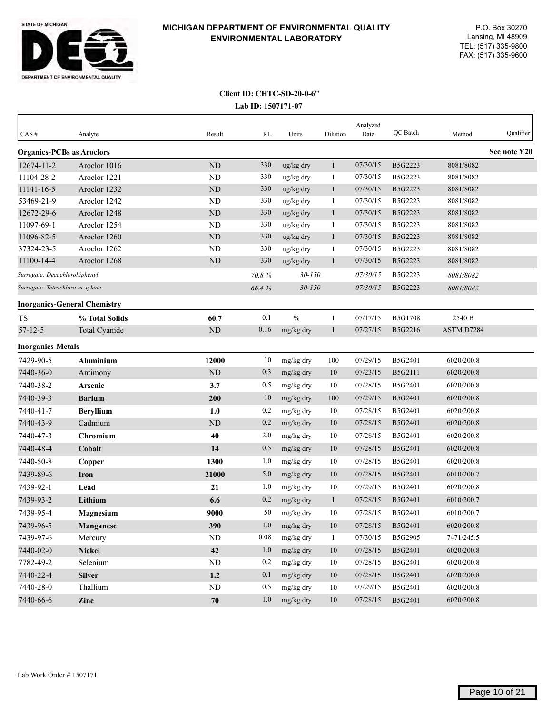

## **Lab ID: 1507171-07 Client ID: CHTC-SD-20-0-6''**

| CAS#                                | Analyte          | Result     | RL    | Units         | Dilution     | Analyzed<br>Date | QC Batch       | Method     | Qualifier    |
|-------------------------------------|------------------|------------|-------|---------------|--------------|------------------|----------------|------------|--------------|
| <b>Organics-PCBs as Aroclors</b>    |                  |            |       |               |              |                  |                |            | See note Y20 |
| 12674-11-2                          | Aroclor 1016     | <b>ND</b>  | 330   | ug/kg dry     | $\mathbf{1}$ | 07/30/15         | B5G2223        | 8081/8082  |              |
| 11104-28-2                          | Aroclor 1221     | ND         | 330   | ug/kg dry     | -1           | 07/30/15         | B5G2223        | 8081/8082  |              |
| 11141-16-5                          | Aroclor 1232     | <b>ND</b>  | 330   | ug/kg dry     | $\mathbf{1}$ | 07/30/15         | B5G2223        | 8081/8082  |              |
| 53469-21-9                          | Aroclor 1242     | <b>ND</b>  | 330   | ug/kg dry     | -1           | 07/30/15         | B5G2223        | 8081/8082  |              |
| 12672-29-6                          | Aroclor 1248     | <b>ND</b>  | 330   | ug/kg dry     | $\mathbf{1}$ | 07/30/15         | B5G2223        | 8081/8082  |              |
| 11097-69-1                          | Aroclor 1254     | ND         | 330   | ug/kg dry     | 1            | 07/30/15         | B5G2223        | 8081/8082  |              |
| 11096-82-5                          | Aroclor 1260     | ND         | 330   | ug/kg dry     | $\mathbf{1}$ | 07/30/15         | B5G2223        | 8081/8082  |              |
| 37324-23-5                          | Aroclor 1262     | <b>ND</b>  | 330   | ug/kg dry     | 1            | 07/30/15         | B5G2223        | 8081/8082  |              |
| 11100-14-4                          | Aroclor 1268     | <b>ND</b>  | 330   | ug/kg dry     | $\mathbf{1}$ | 07/30/15         | B5G2223        | 8081/8082  |              |
| Surrogate: Decachlorobiphenyl       |                  |            | 70.8% | $30 - 150$    |              | 07/30/15         | B5G2223        | 8081/8082  |              |
| Surrogate: Tetrachloro-m-xylene     |                  |            | 66.4% | $30 - 150$    |              | 07/30/15         | B5G2223        | 8081/8082  |              |
| <b>Inorganics-General Chemistry</b> |                  |            |       |               |              |                  |                |            |              |
| TS                                  | % Total Solids   | 60.7       | 0.1   | $\frac{0}{0}$ | 1            | 07/17/15         | <b>B5G1708</b> | 2540 B     |              |
| $57 - 12 - 5$                       | Total Cyanide    | <b>ND</b>  | 0.16  | mg/kg dry     | $\mathbf{1}$ | 07/27/15         | B5G2216        | ASTM D7284 |              |
| <b>Inorganics-Metals</b>            |                  |            |       |               |              |                  |                |            |              |
| 7429-90-5                           | Aluminium        | 12000      | 10    | mg/kg dry     | 100          | 07/29/15         | B5G2401        | 6020/200.8 |              |
| 7440-36-0                           | Antimony         | <b>ND</b>  | 0.3   | mg/kg dry     | 10           | 07/23/15         | B5G2111        | 6020/200.8 |              |
| 7440-38-2                           | Arsenic          | 3.7        | 0.5   | mg/kg dry     | 10           | 07/28/15         | B5G2401        | 6020/200.8 |              |
| 7440-39-3                           | <b>Barium</b>    | 200        | 10    | mg/kg dry     | 100          | 07/29/15         | B5G2401        | 6020/200.8 |              |
| 7440-41-7                           | <b>Beryllium</b> | 1.0        | 0.2   | mg/kg dry     | 10           | 07/28/15         | B5G2401        | 6020/200.8 |              |
| 7440-43-9                           | Cadmium          | <b>ND</b>  | 0.2   | mg/kg dry     | 10           | 07/28/15         | B5G2401        | 6020/200.8 |              |
| 7440-47-3                           | <b>Chromium</b>  | 40         | 2.0   | mg/kg dry     | 10           | 07/28/15         | B5G2401        | 6020/200.8 |              |
| 7440-48-4                           | Cobalt           | 14         | 0.5   | mg/kg dry     | 10           | 07/28/15         | B5G2401        | 6020/200.8 |              |
| 7440-50-8                           | Copper           | 1300       | 1.0   | mg/kg dry     | 10           | 07/28/15         | B5G2401        | 6020/200.8 |              |
| 7439-89-6                           | <b>Iron</b>      | 21000      | 5.0   | mg/kg dry     | 10           | 07/28/15         | B5G2401        | 6010/200.7 |              |
| 7439-92-1                           | Lead             | 21         | 1.0   | mg/kg dry     | 10           | 07/29/15         | B5G2401        | 6020/200.8 |              |
| 7439-93-2                           | Lithium          | 6.6        | 0.2   | mg/kg dry     | $\mathbf{1}$ | 07/28/15         | B5G2401        | 6010/200.7 |              |
| 7439-95-4                           | <b>Magnesium</b> | 9000       | 50    | mg/kg dry     | 10           | 07/28/15         | B5G2401        | 6010/200.7 |              |
| 7439-96-5                           | Manganese        | 390        | 1.0   | mg/kg dry     | 10           | 07/28/15         | B5G2401        | 6020/200.8 |              |
| 7439-97-6                           | Mercury          | ND         | 0.08  | mg/kg dry     | $\mathbf{1}$ | 07/30/15         | B5G2905        | 7471/245.5 |              |
| 7440-02-0                           | Nickel           | $42\,$     | 1.0   | mg/kg dry     | $10\,$       | 07/28/15         | B5G2401        | 6020/200.8 |              |
| 7782-49-2                           | Selenium         | ND         | 0.2   | mg/kg dry     | 10           | 07/28/15         | B5G2401        | 6020/200.8 |              |
| 7440-22-4                           | <b>Silver</b>    | 1.2        | 0.1   | mg/kg dry     | 10           | 07/28/15         | B5G2401        | 6020/200.8 |              |
| 7440-28-0                           | Thallium         | ND         | 0.5   | mg/kg dry     | $10\,$       | 07/29/15         | B5G2401        | 6020/200.8 |              |
| 7440-66-6                           | Zinc             | ${\bf 70}$ | 1.0   | mg/kg dry     | $10\,$       | 07/28/15         | B5G2401        | 6020/200.8 |              |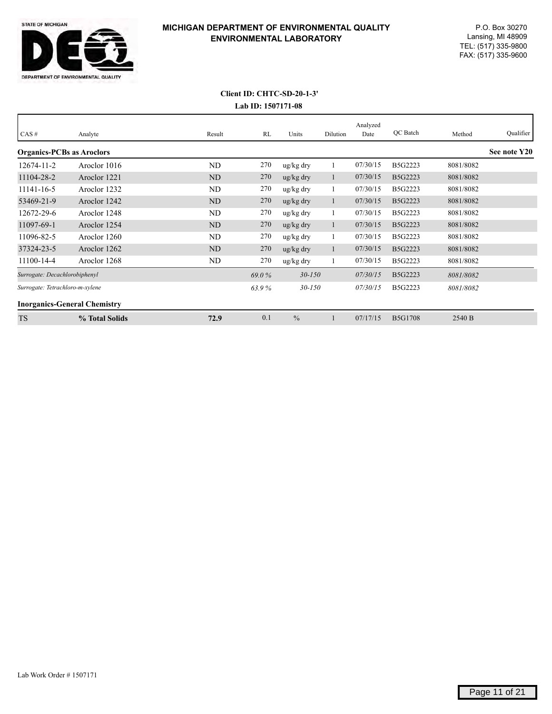

#### **Lab ID: 1507171-08 Client ID: CHTC-SD-20-1-3'**

| CAS#                                | Analyte        | Result    | RL    | Units                 | Dilution | Analyzed<br>Date | QC Batch       | Method    | Qualifier    |
|-------------------------------------|----------------|-----------|-------|-----------------------|----------|------------------|----------------|-----------|--------------|
| <b>Organics-PCBs as Aroclors</b>    |                |           |       |                       |          |                  |                |           | See note Y20 |
| $12674 - 11 - 2$                    | Aroclor 1016   | ND        | 270   | ug/kg dry             |          | 07/30/15         | B5G2223        | 8081/8082 |              |
| 11104-28-2                          | Aroclor 1221   | ND        | 270   | ug/kg dry             | -1       | 07/30/15         | B5G2223        | 8081/8082 |              |
| 11141-16-5                          | Aroclor 1232   | ND        | 270   | ug/kg dry             |          | 07/30/15         | B5G2223        | 8081/8082 |              |
| 53469-21-9                          | Aroclor 1242   | ND        | 270   | ug/kg dry             | 1        | 07/30/15         | B5G2223        | 8081/8082 |              |
| 12672-29-6                          | Aroclor 1248   | ND        | 270   | ug/kg dry             |          | 07/30/15         | B5G2223        | 8081/8082 |              |
| 11097-69-1                          | Aroclor 1254   | ND        | 270   | ug/kg dry             | -1       | 07/30/15         | B5G2223        | 8081/8082 |              |
| 11096-82-5                          | Aroclor 1260   | <b>ND</b> | 270   | ug/kg dry             |          | 07/30/15         | B5G2223        | 8081/8082 |              |
| 37324-23-5                          | Aroclor 1262   | ND        | 270   | $\frac{u g}{k g}$ dry |          | 07/30/15         | B5G2223        | 8081/8082 |              |
| 11100-14-4                          | Aroclor 1268   | ND        | 270   | ug/kg dry             |          | 07/30/15         | B5G2223        | 8081/8082 |              |
| Surrogate: Decachlorobiphenyl       |                |           | 69.0% | $30 - 150$            |          | 07/30/15         | B5G2223        | 8081/8082 |              |
| Surrogate: Tetrachloro-m-xylene     |                |           | 63.9% | $30 - 150$            |          | 07/30/15         | B5G2223        | 8081/8082 |              |
| <b>Inorganics-General Chemistry</b> |                |           |       |                       |          |                  |                |           |              |
| <b>TS</b>                           | % Total Solids | 72.9      | 0.1   | $\frac{0}{0}$         |          | 07/17/15         | <b>B5G1708</b> | 2540 B    |              |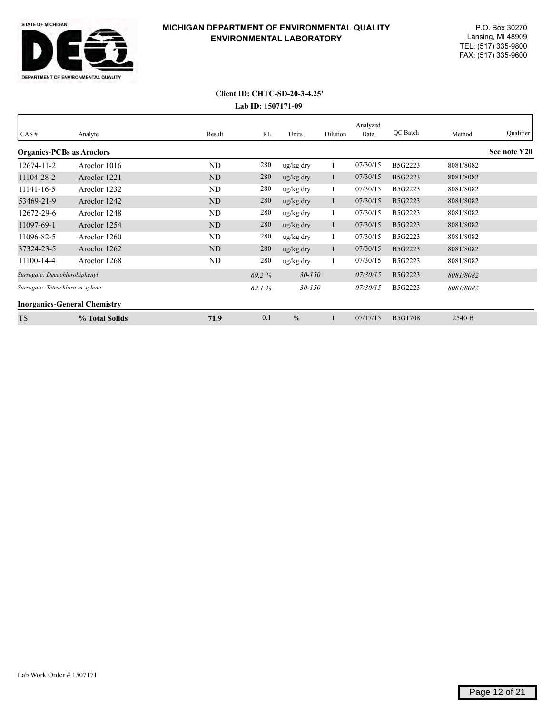

## **Lab ID: 1507171-09 Client ID: CHTC-SD-20-3-4.25'**

| CAS#                                | Analyte        | Result         | RL    | Units                 | Dilution | Analyzed<br>Date | QC Batch       | Method    | Qualifier    |
|-------------------------------------|----------------|----------------|-------|-----------------------|----------|------------------|----------------|-----------|--------------|
| <b>Organics-PCBs as Aroclors</b>    |                |                |       |                       |          |                  |                |           | See note Y20 |
| $12674 - 11 - 2$                    | Aroclor 1016   | <b>ND</b>      | 280   | ug/kg dry             |          | 07/30/15         | B5G2223        | 8081/8082 |              |
| 11104-28-2                          | Aroclor 1221   | N <sub>D</sub> | 280   | ug/kg dry             |          | 07/30/15         | B5G2223        | 8081/8082 |              |
| 11141-16-5                          | Aroclor 1232   | ND             | 280   | ug/kg dry             |          | 07/30/15         | B5G2223        | 8081/8082 |              |
| 53469-21-9                          | Aroclor 1242   | N <sub>D</sub> | 280   | ug/kg dry             |          | 07/30/15         | B5G2223        | 8081/8082 |              |
| 12672-29-6                          | Aroclor 1248   | ND             | 280   | ug/kg dry             |          | 07/30/15         | B5G2223        | 8081/8082 |              |
| 11097-69-1                          | Aroclor 1254   | ND             | 280   | $\frac{u g}{k g}$ dry |          | 07/30/15         | B5G2223        | 8081/8082 |              |
| 11096-82-5                          | Aroclor 1260   | ND             | 280   | ug/kg dry             |          | 07/30/15         | B5G2223        | 8081/8082 |              |
| 37324-23-5                          | Aroclor 1262   | N <sub>D</sub> | 280   | ug/kg dry             |          | 07/30/15         | B5G2223        | 8081/8082 |              |
| 11100-14-4                          | Aroclor 1268   | ND             | 280   | ug/kg dry             |          | 07/30/15         | B5G2223        | 8081/8082 |              |
| Surrogate: Decachlorobiphenyl       |                |                | 69.2% | $30 - 150$            |          | 07/30/15         | B5G2223        | 8081/8082 |              |
| Surrogate: Tetrachloro-m-xylene     |                |                | 62.1% | $30 - 150$            |          | 07/30/15         | B5G2223        | 8081/8082 |              |
| <b>Inorganics-General Chemistry</b> |                |                |       |                       |          |                  |                |           |              |
| <b>TS</b>                           | % Total Solids | 71.9           | 0.1   | $\frac{0}{0}$         |          | 07/17/15         | <b>B5G1708</b> | 2540 B    |              |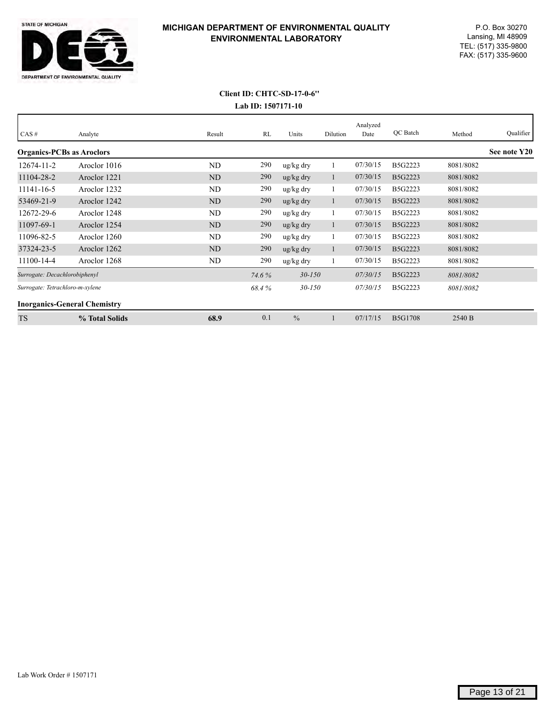

## **Lab ID: 1507171-10 Client ID: CHTC-SD-17-0-6''**

| CAS#                                | Analyte        | Result    | RL    | Units                 | Dilution | Analyzed<br>Date | QC Batch       | Method    | Qualifier    |
|-------------------------------------|----------------|-----------|-------|-----------------------|----------|------------------|----------------|-----------|--------------|
| <b>Organics-PCBs as Aroclors</b>    |                |           |       |                       |          |                  |                |           | See note Y20 |
| 12674-11-2                          | Aroclor 1016   | <b>ND</b> | 290   | ug/kg dry             |          | 07/30/15         | B5G2223        | 8081/8082 |              |
| 11104-28-2                          | Aroclor 1221   | ND        | 290   | ug/kg dry             | 1        | 07/30/15         | B5G2223        | 8081/8082 |              |
| 11141-16-5                          | Aroclor 1232   | ND        | 290   | ug/kg dry             |          | 07/30/15         | B5G2223        | 8081/8082 |              |
| 53469-21-9                          | Aroclor 1242   | ND        | 290   | ug/kg dry             | -1       | 07/30/15         | B5G2223        | 8081/8082 |              |
| 12672-29-6                          | Aroclor 1248   | ND        | 290   | ug/kg dry             |          | 07/30/15         | B5G2223        | 8081/8082 |              |
| 11097-69-1                          | Aroclor 1254   | ND        | 290   | ug/kg dry             |          | 07/30/15         | B5G2223        | 8081/8082 |              |
| 11096-82-5                          | Aroclor 1260   | ND        | 290   | ug/kg dry             |          | 07/30/15         | B5G2223        | 8081/8082 |              |
| 37324-23-5                          | Aroclor 1262   | ND        | 290   | $\frac{u g}{k g}$ dry |          | 07/30/15         | B5G2223        | 8081/8082 |              |
| 11100-14-4                          | Aroclor 1268   | ND        | 290   | ug/kg dry             |          | 07/30/15         | B5G2223        | 8081/8082 |              |
| Surrogate: Decachlorobiphenyl       |                |           | 74.6% | $30 - 150$            |          | 07/30/15         | B5G2223        | 8081/8082 |              |
| Surrogate: Tetrachloro-m-xylene     |                |           | 68.4% | $30 - 150$            |          | 07/30/15         | B5G2223        | 8081/8082 |              |
| <b>Inorganics-General Chemistry</b> |                |           |       |                       |          |                  |                |           |              |
| <b>TS</b>                           | % Total Solids | 68.9      | 0.1   | $\frac{0}{0}$         |          | 07/17/15         | <b>B5G1708</b> | 2540 B    |              |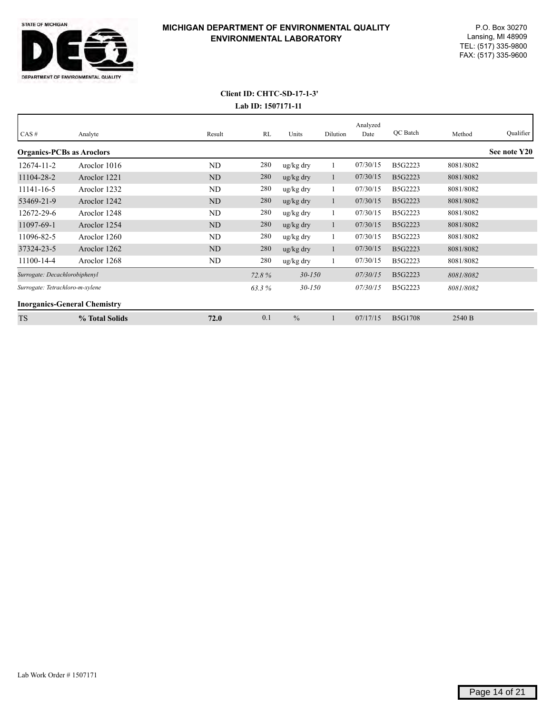

#### **Lab ID: 1507171-11 Client ID: CHTC-SD-17-1-3'**

| CAS#                                | Analyte        | Result | RL    | Units                 | Dilution | Analyzed<br>Date | QC Batch       | Method    | Qualifier    |
|-------------------------------------|----------------|--------|-------|-----------------------|----------|------------------|----------------|-----------|--------------|
| <b>Organics-PCBs as Aroclors</b>    |                |        |       |                       |          |                  |                |           | See note Y20 |
| 12674-11-2                          | Aroclor 1016   | ND     | 280   | ug/kg dry             |          | 07/30/15         | B5G2223        | 8081/8082 |              |
| 11104-28-2                          | Aroclor 1221   | ND     | 280   | ug/kg dry             |          | 07/30/15         | B5G2223        | 8081/8082 |              |
| 11141-16-5                          | Aroclor 1232   | ND     | 280   | ug/kg dry             |          | 07/30/15         | B5G2223        | 8081/8082 |              |
| 53469-21-9                          | Aroclor 1242   | ND     | 280   | ug/kg dry             | -1       | 07/30/15         | B5G2223        | 8081/8082 |              |
| 12672-29-6                          | Aroclor 1248   | ND     | 280   | ug/kg dry             |          | 07/30/15         | B5G2223        | 8081/8082 |              |
| 11097-69-1                          | Aroclor 1254   | ND     | 280   | $\frac{u g}{k g}$ dry |          | 07/30/15         | B5G2223        | 8081/8082 |              |
| 11096-82-5                          | Aroclor 1260   | ND     | 280   | ug/kg dry             |          | 07/30/15         | B5G2223        | 8081/8082 |              |
| 37324-23-5                          | Aroclor 1262   | ND     | 280   | $\frac{u g}{k g}$ dry | -1       | 07/30/15         | B5G2223        | 8081/8082 |              |
| 11100-14-4                          | Aroclor 1268   | ND     | 280   | ug/kg dry             |          | 07/30/15         | B5G2223        | 8081/8082 |              |
| Surrogate: Decachlorobiphenyl       |                |        | 72.8% | $30 - 150$            |          | 07/30/15         | B5G2223        | 8081/8082 |              |
| Surrogate: Tetrachloro-m-xylene     |                |        | 63.3% | $30 - 150$            |          | 07/30/15         | B5G2223        | 8081/8082 |              |
| <b>Inorganics-General Chemistry</b> |                |        |       |                       |          |                  |                |           |              |
| <b>TS</b>                           | % Total Solids | 72.0   | 0.1   | $\frac{0}{0}$         |          | 07/17/15         | <b>B5G1708</b> | 2540 B    |              |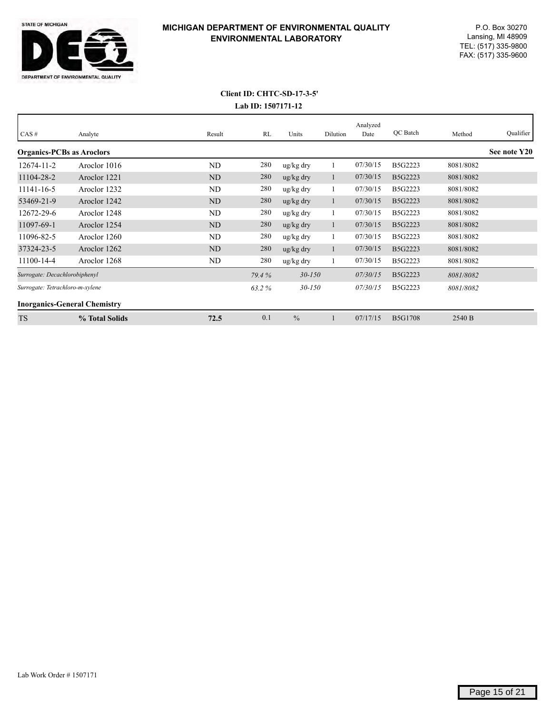

#### **Lab ID: 1507171-12 Client ID: CHTC-SD-17-3-5'**

| CAS#                                | Analyte        | Result | RL     | Units         | Dilution | Analyzed<br>Date | QC Batch       | Method    | Qualifier    |
|-------------------------------------|----------------|--------|--------|---------------|----------|------------------|----------------|-----------|--------------|
| <b>Organics-PCBs as Aroclors</b>    |                |        |        |               |          |                  |                |           | See note Y20 |
| 12674-11-2                          | Aroclor 1016   | ND     | 280    | ug/kg dry     |          | 07/30/15         | B5G2223        | 8081/8082 |              |
| 11104-28-2                          | Aroclor 1221   | ND     | 280    | ug/kg dry     |          | 07/30/15         | B5G2223        | 8081/8082 |              |
| 11141-16-5                          | Aroclor 1232   | ND     | 280    | ug/kg dry     |          | 07/30/15         | B5G2223        | 8081/8082 |              |
| 53469-21-9                          | Aroclor 1242   | ND     | 280    | ug/kg dry     | -1       | 07/30/15         | B5G2223        | 8081/8082 |              |
| 12672-29-6                          | Aroclor 1248   | ND     | 280    | ug/kg dry     |          | 07/30/15         | B5G2223        | 8081/8082 |              |
| 11097-69-1                          | Aroclor 1254   | ND     | 280    | ug/kg dry     |          | 07/30/15         | B5G2223        | 8081/8082 |              |
| 11096-82-5                          | Aroclor 1260   | ND     | 280    | ug/kg dry     |          | 07/30/15         | B5G2223        | 8081/8082 |              |
| 37324-23-5                          | Aroclor 1262   | ND     | 280    | ug/kg dry     |          | 07/30/15         | B5G2223        | 8081/8082 |              |
| 11100-14-4                          | Aroclor 1268   | ND     | 280    | ug/kg dry     |          | 07/30/15         | B5G2223        | 8081/8082 |              |
| Surrogate: Decachlorobiphenyl       |                |        | 79.4 % | $30 - 150$    |          | 07/30/15         | B5G2223        | 8081/8082 |              |
| Surrogate: Tetrachloro-m-xylene     |                |        | 63.2%  | $30 - 150$    |          | 07/30/15         | B5G2223        | 8081/8082 |              |
| <b>Inorganics-General Chemistry</b> |                |        |        |               |          |                  |                |           |              |
| <b>TS</b>                           | % Total Solids | 72.5   | 0.1    | $\frac{0}{0}$ |          | 07/17/15         | <b>B5G1708</b> | 2540 B    |              |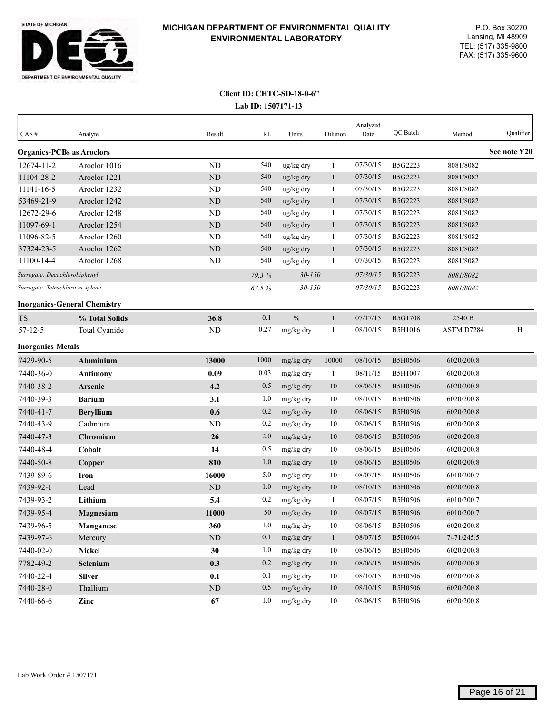

## **Lab ID: 1507171-13 Client ID: CHTC-SD-18-0-6''**

| $CAS \#$                         | Analyte                             | Result    | RL    | Units         | Dilution     | Analyzed<br>Date | QC Batch       | Method     | Qualifier    |
|----------------------------------|-------------------------------------|-----------|-------|---------------|--------------|------------------|----------------|------------|--------------|
| <b>Organics-PCBs as Aroclors</b> |                                     |           |       |               |              |                  |                |            | See note Y20 |
| 12674-11-2                       | Aroclor 1016                        | <b>ND</b> | 540   | ug/kg dry     | 1            | 07/30/15         | B5G2223        | 8081/8082  |              |
| 11104-28-2                       | Aroclor 1221                        | ND        | 540   | ug/kg dry     | 1            | 07/30/15         | B5G2223        | 8081/8082  |              |
| 11141-16-5                       | Aroclor 1232                        | <b>ND</b> | 540   | ug/kg dry     | 1            | 07/30/15         | B5G2223        | 8081/8082  |              |
| 53469-21-9                       | Aroclor 1242                        | <b>ND</b> | 540   | ug/kg dry     | $\mathbf{1}$ | 07/30/15         | B5G2223        | 8081/8082  |              |
| 12672-29-6                       | Aroclor 1248                        | <b>ND</b> | 540   | ug/kg dry     | $\mathbf{1}$ | 07/30/15         | B5G2223        | 8081/8082  |              |
| 11097-69-1                       | Aroclor 1254                        | <b>ND</b> | 540   | ug/kg dry     | $\mathbf{1}$ | 07/30/15         | B5G2223        | 8081/8082  |              |
| 11096-82-5                       | Aroclor 1260                        | <b>ND</b> | 540   | ug/kg dry     | 1            | 07/30/15         | B5G2223        | 8081/8082  |              |
| 37324-23-5                       | Aroclor 1262                        | <b>ND</b> | 540   | ug/kg dry     | $\mathbf{1}$ | 07/30/15         | B5G2223        | 8081/8082  |              |
| 11100-14-4                       | Aroclor 1268                        | <b>ND</b> | 540   | ug/kg dry     | 1            | 07/30/15         | B5G2223        | 8081/8082  |              |
| Surrogate: Decachlorobiphenyl    |                                     |           | 79.3% | $30 - 150$    |              | 07/30/15         | B5G2223        | 8081/8082  |              |
| Surrogate: Tetrachloro-m-xylene  |                                     |           | 67.5% | $30 - 150$    |              | 07/30/15         | B5G2223        | 8081/8082  |              |
|                                  | <b>Inorganics-General Chemistry</b> |           |       |               |              |                  |                |            |              |
| TS                               | % Total Solids                      | 36.8      | 0.1   | $\frac{0}{0}$ | $\mathbf{1}$ | 07/17/15         | <b>B5G1708</b> | 2540 B     |              |
| $57 - 12 - 5$                    | Total Cyanide                       | <b>ND</b> | 0.27  | mg/kg dry     | 1            | 08/10/15         | B5H1016        | ASTM D7284 | H            |
| <b>Inorganics-Metals</b>         |                                     |           |       |               |              |                  |                |            |              |
| 7429-90-5                        | <b>Aluminium</b>                    | 13000     | 1000  | mg/kg dry     | 10000        | 08/10/15         | <b>B5H0506</b> | 6020/200.8 |              |
| 7440-36-0                        | <b>Antimony</b>                     | 0.09      | 0.03  | mg/kg dry     | 1            | 08/11/15         | B5H1007        | 6020/200.8 |              |
| 7440-38-2                        | Arsenic                             | 4.2       | 0.5   | $mg/kg$ dry   | 10           | 08/06/15         | <b>B5H0506</b> | 6020/200.8 |              |
| 7440-39-3                        | <b>Barium</b>                       | 3.1       | 1.0   | mg/kg dry     | 10           | 08/10/15         | <b>B5H0506</b> | 6020/200.8 |              |
| 7440-41-7                        | <b>Beryllium</b>                    | 0.6       | 0.2   | mg/kg dry     | 10           | 08/06/15         | <b>B5H0506</b> | 6020/200.8 |              |
| 7440-43-9                        | Cadmium                             | <b>ND</b> | 0.2   | mg/kg dry     | 10           | 08/06/15         | <b>B5H0506</b> | 6020/200.8 |              |
| 7440-47-3                        | Chromium                            | 26        | 2.0   | mg/kg dry     | 10           | 08/06/15         | <b>B5H0506</b> | 6020/200.8 |              |
| 7440-48-4                        | Cobalt                              | 14        | 0.5   | mg/kg dry     | 10           | 08/06/15         | <b>B5H0506</b> | 6020/200.8 |              |
| 7440-50-8                        | Copper                              | 810       | 1.0   | mg/kg dry     | 10           | 08/06/15         | <b>B5H0506</b> | 6020/200.8 |              |
| 7439-89-6                        | Iron                                | 16000     | 5.0   | mg/kg dry     | 10           | 08/07/15         | <b>B5H0506</b> | 6010/200.7 |              |
| 7439-92-1                        | Lead                                | <b>ND</b> | 1.0   | mg/kg dry     | 10           | 08/10/15         | <b>B5H0506</b> | 6020/200.8 |              |
| 7439-93-2                        | Lithium                             | 5.4       | 0.2   | mg/kg dry     | -1           | 08/07/15         | <b>B5H0506</b> | 6010/200.7 |              |
| 7439-95-4                        | <b>Magnesium</b>                    | 11000     | 50    | mg/kg dry     | 10           | 08/07/15         | <b>B5H0506</b> | 6010/200.7 |              |
| 7439-96-5                        | Manganese                           | 360       | 1.0   | mg/kg dry     | 10           | 08/06/15         | <b>B5H0506</b> | 6020/200.8 |              |
| 7439-97-6                        | Mercury                             | $\rm ND$  | 0.1   | mg/kg dry     | $\mathbf{1}$ | 08/07/15         | B5H0604        | 7471/245.5 |              |
| 7440-02-0                        | <b>Nickel</b>                       | 30        | 1.0   | mg/kg dry     | $10\,$       | 08/06/15         | <b>B5H0506</b> | 6020/200.8 |              |
| 7782-49-2                        | Selenium                            | 0.3       | 0.2   | mg/kg dry     | $10\,$       | 08/06/15         | B5H0506        | 6020/200.8 |              |
| 7440-22-4                        | <b>Silver</b>                       | 0.1       | 0.1   | mg/kg dry     | $10\,$       | 08/10/15         | B5H0506        | 6020/200.8 |              |
| 7440-28-0                        | Thallium                            | $\rm ND$  | 0.5   | mg/kg dry     | $10\,$       | 08/10/15         | B5H0506        | 6020/200.8 |              |
| 7440-66-6                        | Zinc                                | 67        | 1.0   | mg/kg dry     | $10\,$       | 08/06/15         | B5H0506        | 6020/200.8 |              |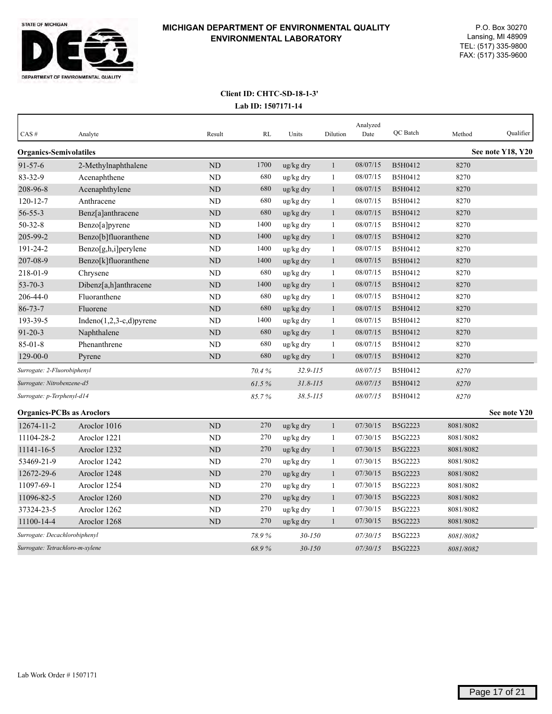

#### **Lab ID: 1507171-14 Client ID: CHTC-SD-18-1-3'**

| CAS#                             | Analyte                     | Result         | <b>RL</b> | Units        | Dilution     | Analyzed<br>Date | QC Batch       | Method    | Qualifier         |
|----------------------------------|-----------------------------|----------------|-----------|--------------|--------------|------------------|----------------|-----------|-------------------|
| <b>Organics-Semivolatiles</b>    |                             |                |           |              |              |                  |                |           | See note Y18, Y20 |
| $91 - 57 - 6$                    | 2-Methylnaphthalene         | <b>ND</b>      | 1700      | ug/kg dry    | $\mathbf{1}$ | 08/07/15         | B5H0412        | 8270      |                   |
| 83-32-9                          | Acenaphthene                | <b>ND</b>      | 680       | ug/kg dry    | 1            | 08/07/15         | B5H0412        | 8270      |                   |
| 208-96-8                         | Acenaphthylene              | <b>ND</b>      | 680       | ug/kg dry    | $\mathbf{1}$ | 08/07/15         | B5H0412        | 8270      |                   |
| $120 - 12 - 7$                   | Anthracene                  | <b>ND</b>      | 680       | ug/kg dry    | $\mathbf{1}$ | 08/07/15         | B5H0412        | 8270      |                   |
| $56 - 55 - 3$                    | Benz[a]anthracene           | ND             | 680       | ug/kg dry    | $\mathbf{1}$ | 08/07/15         | B5H0412        | 8270      |                   |
| $50 - 32 - 8$                    | Benzo[a]pyrene              | <b>ND</b>      | 1400      | ug/kg dry    | $\mathbf{1}$ | 08/07/15         | B5H0412        | 8270      |                   |
| 205-99-2                         | Benzo[b]fluoranthene        | <b>ND</b>      | 1400      | ug/kg dry    | $\mathbf{1}$ | 08/07/15         | B5H0412        | 8270      |                   |
| 191-24-2                         | Benzo[g,h,i]perylene        | N <sub>D</sub> | 1400      | ug/kg dry    | $\mathbf{1}$ | 08/07/15         | B5H0412        | 8270      |                   |
| 207-08-9                         | Benzo[k]fluoranthene        | <b>ND</b>      | 1400      | ug/kg dry    | $\mathbf{1}$ | 08/07/15         | B5H0412        | 8270      |                   |
| 218-01-9                         | Chrysene                    | <b>ND</b>      | 680       | ug/kg dry    | $\mathbf{1}$ | 08/07/15         | B5H0412        | 8270      |                   |
| $53 - 70 - 3$                    | Dibenz[a,h]anthracene       | <b>ND</b>      | 1400      | ug/kg dry    | $\mathbf{1}$ | 08/07/15         | B5H0412        | 8270      |                   |
| 206-44-0                         | Fluoranthene                | ND             | 680       | ug/kg dry    | 1            | 08/07/15         | B5H0412        | 8270      |                   |
| $86 - 73 - 7$                    | Fluorene                    | <b>ND</b>      | 680       | ug/kg dry    | $\mathbf{1}$ | 08/07/15         | B5H0412        | 8270      |                   |
| 193-39-5                         | Indeno $(1,2,3-c,d)$ pyrene | <b>ND</b>      | 1400      | ug/kg dry    | $\mathbf{1}$ | 08/07/15         | B5H0412        | 8270      |                   |
| $91 - 20 - 3$                    | Naphthalene                 | ND             | 680       | ug/kg dry    | $\mathbf{1}$ | 08/07/15         | B5H0412        | 8270      |                   |
| $85 - 01 - 8$                    | Phenanthrene                | <b>ND</b>      | 680       | ug/kg dry    | $\mathbf{1}$ | 08/07/15         | B5H0412        | 8270      |                   |
| $129 - 00 - 0$                   | Pyrene                      | <b>ND</b>      | 680       | ug/kg dry    | $\mathbf{1}$ | 08/07/15         | B5H0412        | 8270      |                   |
| Surrogate: 2-Fluorobiphenyl      |                             |                | 70.4%     | $32.9 - 115$ |              | 08/07/15         | B5H0412        | 8270      |                   |
| Surrogate: Nitrobenzene-d5       |                             |                | 61.5%     | $31.8 - 115$ |              | 08/07/15         | B5H0412        | 8270      |                   |
| Surrogate: p-Terphenyl-d14       |                             |                | 85.7%     | $38.5 - 115$ |              | 08/07/15         | B5H0412        | 8270      |                   |
| <b>Organics-PCBs as Aroclors</b> |                             |                |           |              |              |                  |                |           | See note Y20      |
| 12674-11-2                       | Aroclor 1016                | ND             | 270       | ug/kg dry    | $\mathbf{1}$ | 07/30/15         | B5G2223        | 8081/8082 |                   |
| 11104-28-2                       | Aroclor 1221                | <b>ND</b>      | 270       | ug/kg dry    | -1           | 07/30/15         | B5G2223        | 8081/8082 |                   |
| 11141-16-5                       | Aroclor 1232                | <b>ND</b>      | 270       | ug/kg dry    | $\mathbf{1}$ | 07/30/15         | B5G2223        | 8081/8082 |                   |
| 53469-21-9                       | Aroclor 1242                | <b>ND</b>      | 270       | ug/kg dry    | 1            | 07/30/15         | B5G2223        | 8081/8082 |                   |
| 12672-29-6                       | Aroclor 1248                | ND             | 270       | ug/kg dry    | $\mathbf{1}$ | 07/30/15         | B5G2223        | 8081/8082 |                   |
| 11097-69-1                       | Aroclor 1254                | <b>ND</b>      | 270       | ug/kg dry    | $\mathbf{1}$ | 07/30/15         | B5G2223        | 8081/8082 |                   |
| 11096-82-5                       | Aroclor 1260                | <b>ND</b>      | 270       | ug/kg dry    | $\mathbf{1}$ | 07/30/15         | B5G2223        | 8081/8082 |                   |
| 37324-23-5                       | Aroclor 1262                | <b>ND</b>      | 270       | ug/kg dry    | $\mathbf{1}$ | 07/30/15         | B5G2223        | 8081/8082 |                   |
| 11100-14-4                       | Aroclor 1268                | <b>ND</b>      | 270       | ug/kg dry    | $\mathbf{1}$ | 07/30/15         | B5G2223        | 8081/8082 |                   |
| Surrogate: Decachlorobiphenyl    |                             |                | 78.9%     | $30 - 150$   |              | 07/30/15         | B5G2223        | 8081/8082 |                   |
| Surrogate: Tetrachloro-m-xylene  |                             |                | 68.9%     | $30 - 150$   |              | 07/30/15         | <b>B5G2223</b> | 8081/8082 |                   |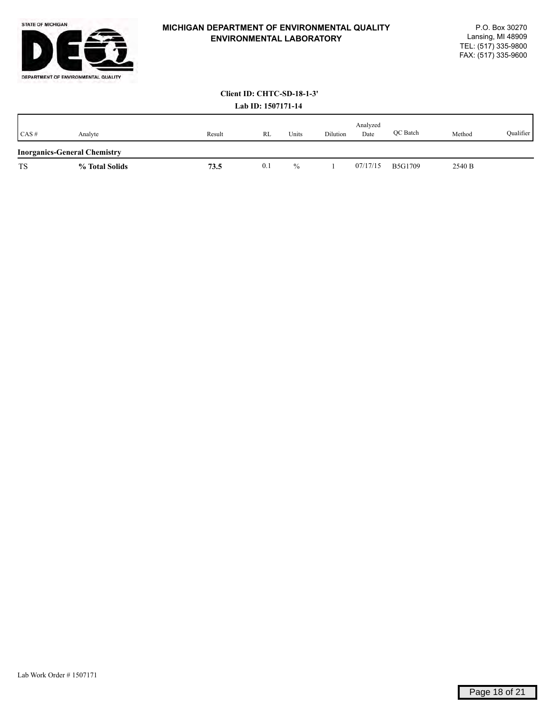

## **Lab ID: 1507171-14 Client ID: CHTC-SD-18-1-3'**

| CAS#      | Analyte                             | Result | RL  | Units         | Dilution | Analyzed<br>Date | OC Batch | Method | Qualifier |
|-----------|-------------------------------------|--------|-----|---------------|----------|------------------|----------|--------|-----------|
|           | <b>Inorganics-General Chemistry</b> |        |     |               |          |                  |          |        |           |
| <b>TS</b> | % Total Solids                      | 73.5   | 0.1 | $\frac{0}{0}$ |          | 07/17/15         | B5G1709  | 2540 B |           |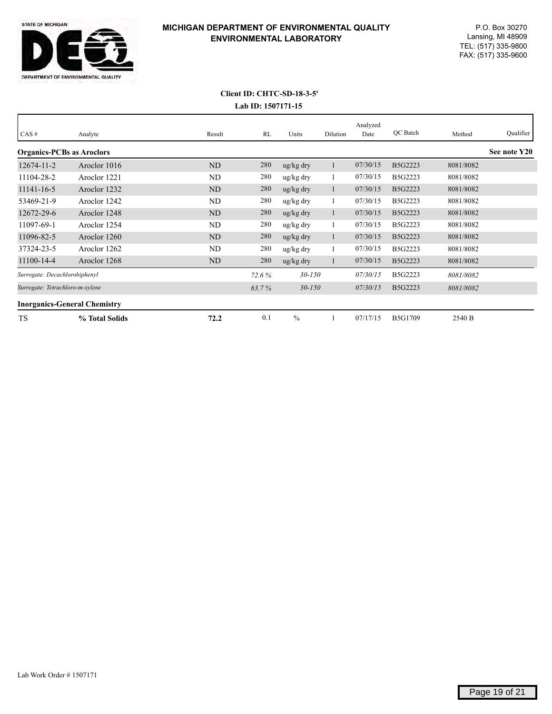

#### **Lab ID: 1507171-15 Client ID: CHTC-SD-18-3-5'**

| CAS#                                | Analyte        | Result    | RL    | Units                 | Dilution     | Analyzed<br>Date | QC Batch | Method    | Qualifier    |
|-------------------------------------|----------------|-----------|-------|-----------------------|--------------|------------------|----------|-----------|--------------|
| <b>Organics-PCBs as Aroclors</b>    |                |           |       |                       |              |                  |          |           | See note Y20 |
| 12674-11-2                          | Aroclor 1016   | ND        | 280   | ug/kg dry             |              | 07/30/15         | B5G2223  | 8081/8082 |              |
| 11104-28-2                          | Aroclor 1221   | ND        | 280   | ug/kg dry             | -1           | 07/30/15         | B5G2223  | 8081/8082 |              |
| 11141-16-5                          | Aroclor 1232   | ND        | 280   | ug/kg dry             | $\mathbf{1}$ | 07/30/15         | B5G2223  | 8081/8082 |              |
| 53469-21-9                          | Aroclor 1242   | ND        | 280   | ug/kg dry             |              | 07/30/15         | B5G2223  | 8081/8082 |              |
| 12672-29-6                          | Aroclor 1248   | ND        | 280   | ug/kg dry             | 1            | 07/30/15         | B5G2223  | 8081/8082 |              |
| 11097-69-1                          | Aroclor 1254   | ND        | 280   | ug/kg dry             |              | 07/30/15         | B5G2223  | 8081/8082 |              |
| 11096-82-5                          | Aroclor 1260   | <b>ND</b> | 280   | $\frac{u g}{k g}$ dry |              | 07/30/15         | B5G2223  | 8081/8082 |              |
| 37324-23-5                          | Aroclor 1262   | ND        | 280   | ug/kg dry             |              | 07/30/15         | B5G2223  | 8081/8082 |              |
| 11100-14-4                          | Aroclor 1268   | ND        | 280   | $\frac{u g}{k g}$ dry |              | 07/30/15         | B5G2223  | 8081/8082 |              |
| Surrogate: Decachlorobiphenyl       |                |           | 72.6% | $30 - 150$            |              | 07/30/15         | B5G2223  | 8081/8082 |              |
| Surrogate: Tetrachloro-m-xylene     |                |           | 63.7% | $30 - 150$            |              | 07/30/15         | B5G2223  | 8081/8082 |              |
| <b>Inorganics-General Chemistry</b> |                |           |       |                       |              |                  |          |           |              |
| <b>TS</b>                           | % Total Solids | 72.2      | 0.1   | $\frac{0}{0}$         |              | 07/17/15         | B5G1709  | 2540 B    |              |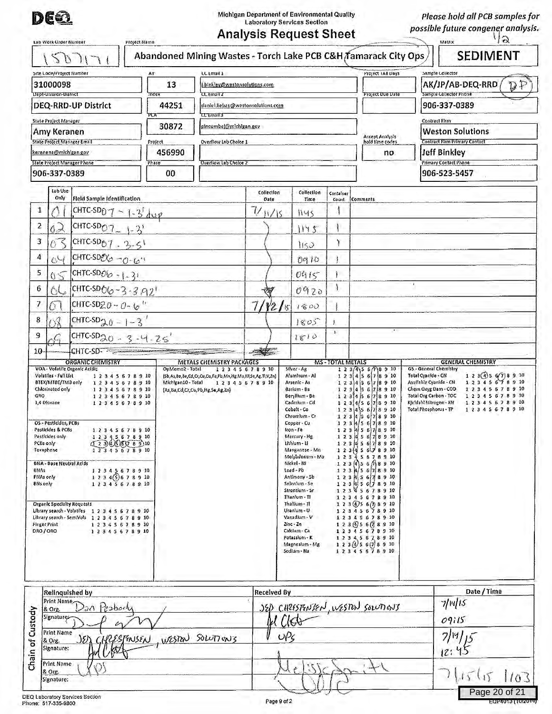

Michigan Department of Environmental Quality<br>Laboratory Services Section

*Please hold all PCB samples for possible future congener analysis.* 

EQP4013 (10/2014)

| Lab Work Order Number                                                                                                                                                                                                            |                                                                                                                                                                                                                                                                                                                       | Project Name<br>Abandoned Mining Wastes - Torch Lake PCB C&H Tamarack City Ops | <b>Analysis Request Sheet</b>                   |                                                                                                                                                                                                                                                                                                                                                                                                          |               |                                                                                                                                                                                                                                                                                                                                                                                                                                                                                                                                                                                        | $\mathbb{Q}$<br>Matrix<br><b>SEDIMENT</b>                                                                                                                                      |
|----------------------------------------------------------------------------------------------------------------------------------------------------------------------------------------------------------------------------------|-----------------------------------------------------------------------------------------------------------------------------------------------------------------------------------------------------------------------------------------------------------------------------------------------------------------------|--------------------------------------------------------------------------------|-------------------------------------------------|----------------------------------------------------------------------------------------------------------------------------------------------------------------------------------------------------------------------------------------------------------------------------------------------------------------------------------------------------------------------------------------------------------|---------------|----------------------------------------------------------------------------------------------------------------------------------------------------------------------------------------------------------------------------------------------------------------------------------------------------------------------------------------------------------------------------------------------------------------------------------------------------------------------------------------------------------------------------------------------------------------------------------------|--------------------------------------------------------------------------------------------------------------------------------------------------------------------------------|
| il d<br>Site Lode/Project Number                                                                                                                                                                                                 |                                                                                                                                                                                                                                                                                                                       | LL Email 1<br>AY                                                               |                                                 |                                                                                                                                                                                                                                                                                                                                                                                                          |               | Project FAI Days                                                                                                                                                                                                                                                                                                                                                                                                                                                                                                                                                                       | Sample Collector                                                                                                                                                               |
| 31000098                                                                                                                                                                                                                         |                                                                                                                                                                                                                                                                                                                       | 13                                                                             | binkley@westonsolutions.com                     |                                                                                                                                                                                                                                                                                                                                                                                                          |               |                                                                                                                                                                                                                                                                                                                                                                                                                                                                                                                                                                                        | AK/JP/AB-DEQ-RRD<br>$\mathbb{D}P$                                                                                                                                              |
| <b>Dept-Unusion-District</b>                                                                                                                                                                                                     | DEQ-RRD-UP District                                                                                                                                                                                                                                                                                                   | index<br>CL Email Z<br>44251                                                   | daniel.liebau@westonsolutions.com               |                                                                                                                                                                                                                                                                                                                                                                                                          |               | Project Due Date                                                                                                                                                                                                                                                                                                                                                                                                                                                                                                                                                                       | Sample Collector Phone<br>906-337-0389                                                                                                                                         |
| State Project Manager                                                                                                                                                                                                            |                                                                                                                                                                                                                                                                                                                       | PCA<br><b>CCEMBITS</b>                                                         |                                                 |                                                                                                                                                                                                                                                                                                                                                                                                          |               |                                                                                                                                                                                                                                                                                                                                                                                                                                                                                                                                                                                        | Contract Firm                                                                                                                                                                  |
| Amy Keranen                                                                                                                                                                                                                      |                                                                                                                                                                                                                                                                                                                       | 30872                                                                          | pincumbel@michigan.gov<br>Overflow Lab Choice 1 |                                                                                                                                                                                                                                                                                                                                                                                                          |               | <b>Accept Analysis</b>                                                                                                                                                                                                                                                                                                                                                                                                                                                                                                                                                                 | <b>Weston Solutions</b><br>Contract Firm Primary Contact                                                                                                                       |
| keranena@michigan.gov                                                                                                                                                                                                            | State Project Manager Email                                                                                                                                                                                                                                                                                           | Project<br>456990                                                              |                                                 |                                                                                                                                                                                                                                                                                                                                                                                                          |               | hold time codes<br>no                                                                                                                                                                                                                                                                                                                                                                                                                                                                                                                                                                  | Jeff Binkley                                                                                                                                                                   |
| 906-337-0389                                                                                                                                                                                                                     | <b>State Project Manager Phone</b>                                                                                                                                                                                                                                                                                    | Overflow Lab Choice 2<br>Phase<br>00                                           |                                                 |                                                                                                                                                                                                                                                                                                                                                                                                          |               |                                                                                                                                                                                                                                                                                                                                                                                                                                                                                                                                                                                        | Primary Contact Phone<br>906-523-5457                                                                                                                                          |
| Lab Use                                                                                                                                                                                                                          |                                                                                                                                                                                                                                                                                                                       |                                                                                | Collection                                      | Collection                                                                                                                                                                                                                                                                                                                                                                                               | Container     |                                                                                                                                                                                                                                                                                                                                                                                                                                                                                                                                                                                        |                                                                                                                                                                                |
| Only<br>$\mathbf{1}$                                                                                                                                                                                                             | Field Sample Identification                                                                                                                                                                                                                                                                                           |                                                                                | Date                                            | Time                                                                                                                                                                                                                                                                                                                                                                                                     | Count         | Comments-                                                                                                                                                                                                                                                                                                                                                                                                                                                                                                                                                                              |                                                                                                                                                                                |
| $\overline{c}$                                                                                                                                                                                                                   | CHTC-SD <sub>0</sub> 7 - 1-3 dup                                                                                                                                                                                                                                                                                      |                                                                                | $7/\mu/s$                                       | 1145                                                                                                                                                                                                                                                                                                                                                                                                     |               |                                                                                                                                                                                                                                                                                                                                                                                                                                                                                                                                                                                        |                                                                                                                                                                                |
| 3                                                                                                                                                                                                                                | CHTC-SD <sub>O</sub> 7 - 1-3'                                                                                                                                                                                                                                                                                         |                                                                                |                                                 | 1145                                                                                                                                                                                                                                                                                                                                                                                                     |               |                                                                                                                                                                                                                                                                                                                                                                                                                                                                                                                                                                                        |                                                                                                                                                                                |
| 4<br>$\mathcal{O}$                                                                                                                                                                                                               | CHTC-SD <sub>O</sub> 7 . $3 - 51$<br>CHTC-SDEXO - 0-6"                                                                                                                                                                                                                                                                |                                                                                |                                                 | 150                                                                                                                                                                                                                                                                                                                                                                                                      | <b>Tomas</b>  |                                                                                                                                                                                                                                                                                                                                                                                                                                                                                                                                                                                        |                                                                                                                                                                                |
| 5                                                                                                                                                                                                                                | CHTC-SD $\mathcal{O}(\sigma - 1 - 3)^r$                                                                                                                                                                                                                                                                               |                                                                                |                                                 | 0910<br>0415                                                                                                                                                                                                                                                                                                                                                                                             | Ì             |                                                                                                                                                                                                                                                                                                                                                                                                                                                                                                                                                                                        |                                                                                                                                                                                |
| 05<br>6                                                                                                                                                                                                                          | CHTC-SD $66 - 3 - 3.92$                                                                                                                                                                                                                                                                                               |                                                                                | E.                                              | 0920                                                                                                                                                                                                                                                                                                                                                                                                     | $\frac{1}{2}$ |                                                                                                                                                                                                                                                                                                                                                                                                                                                                                                                                                                                        |                                                                                                                                                                                |
| 7<br>$\sigma$                                                                                                                                                                                                                    | CHTC-SD2.0 - 0 - 10 <sup>11</sup>                                                                                                                                                                                                                                                                                     |                                                                                | 7/12/5                                          | 1800                                                                                                                                                                                                                                                                                                                                                                                                     |               |                                                                                                                                                                                                                                                                                                                                                                                                                                                                                                                                                                                        |                                                                                                                                                                                |
| $\bf 8$<br>ÓÂ<br>CHTC-SD <sub>2.0</sub> - 1 - 3'                                                                                                                                                                                 |                                                                                                                                                                                                                                                                                                                       |                                                                                | 1805                                            | į                                                                                                                                                                                                                                                                                                                                                                                                        |               |                                                                                                                                                                                                                                                                                                                                                                                                                                                                                                                                                                                        |                                                                                                                                                                                |
| 9<br>$\sqrt{c}$                                                                                                                                                                                                                  | CHTC-SD <sub>20</sub> $-3 - 4.25'$                                                                                                                                                                                                                                                                                    |                                                                                |                                                 | 1810                                                                                                                                                                                                                                                                                                                                                                                                     | $\Lambda$     |                                                                                                                                                                                                                                                                                                                                                                                                                                                                                                                                                                                        |                                                                                                                                                                                |
| 10 <sub>1</sub>                                                                                                                                                                                                                  | $CHTC-SD - \equiv$                                                                                                                                                                                                                                                                                                    |                                                                                |                                                 |                                                                                                                                                                                                                                                                                                                                                                                                          |               |                                                                                                                                                                                                                                                                                                                                                                                                                                                                                                                                                                                        |                                                                                                                                                                                |
| Chlorinated only<br>GRO<br>1,4 Dioxane<br>OS - Pesticides, PCBs<br>Pesticides & PCBs<br>Pesticides only<br>PCBs only<br>Toxaphene<br>BNA - Base Neutral Acids<br><b>BNAs</b><br>PNAs only<br>BNs only<br>Finger Print<br>DRO/ORO | 12345678910<br>12345678910<br>12345678910<br>12345678910<br>12345678910<br>(123)05608910<br>12345678910<br>12345678910<br>1 2 3 4(3) 6 7 8 9 10<br>12345678910<br>Organic Specialty Requests<br>Library search - Volatiles 12345678910<br>Ubrary search - Sem Wols 3 2 3 4 5 6 7 8 9 10<br>12345678910<br>12345678910 | (As,Ba,Cd,Cr,Cu,Pb,Hg,Se,Ag,Zn)                                                |                                                 | Barium - Ba<br>Beryllium - Be<br>Cadmium - Cd<br>Cobalt - Co<br>Chromium - Cr<br>Copper - Cu<br>fron-Fe<br>Mercury - Hg<br>Uthlum - U<br>Manganese - Mn<br>Molybdenum - Mo<br>Nickel - Ni<br>Lead-Pb<br>Antimony - Sb<br>Selenium - Se<br>Strontium - Sr<br>Titanium - Ti<br>Thallium-TI<br>Uranium - U<br>Vanadium - V<br>$zinc - zn$<br>Calcium - Ca<br>Potassium - K<br>Magnesium - Mg<br>Sodium - Na |               | 1 2 3 4 5 6 7 8 9 10<br>$1\ 2\ 3\ 4\ 5\ 6\ 7\ 8\ 9\ 10$<br>$1$ 2 3 4/5 6 7 8 9 10<br>1 2 3 45 578 9 10<br>1 2 3 4 5 6 7 8 9 10<br>1 2 3 4/5 6 78 9 10<br>1 2 3 4 5 6 7 8 9 10<br>12345678910<br>12345678910<br>$1 2 3[4 5 6]$ 7 8 9 10<br>12345678910<br>$1$ 2 3 4 5 6 $/$ 8 9 10<br>1 2 3 4/5 6/78 9 10<br>12345678910<br>1 2 3 4 5 6 7 8 9 10<br>$123\overline{4}5678910$<br>12345678910<br>$1, 2, 3$ (a) $5, 6, 7, 8, 9, 10$<br>12345678910<br>12345678910<br>$1$ 2 3 $(4)$ 5 6 $(7)$ 8 9 10<br>12345678910<br>12345678910<br>$1 2 3 \frac{3}{5} 6 \frac{7}{8} 9 10$<br>12345678910 | Chem Oxyg Dem - COD<br>12345678910<br>Total Org Carbon - TOC<br>1 2 3 4 5 6 7 8 9 10<br>Kjeldahl Nitrogen - KN<br>1 2 3 4 5 6 7 8 9 10<br>Total Phosphorus - TP<br>12345678910 |
| Signaturez                                                                                                                                                                                                                       | <b>Relinquished by</b><br>Print Name Dan Pesbody                                                                                                                                                                                                                                                                      |                                                                                | <b>Received By</b>                              | ClG                                                                                                                                                                                                                                                                                                                                                                                                      |               | SED CHRESPONSEN, WESTERN SOLUTIONS                                                                                                                                                                                                                                                                                                                                                                                                                                                                                                                                                     | Date / Time<br>7/14/15<br>09115                                                                                                                                                |
| Chain of Custody<br>Print Name<br>& Org.<br>Signature:<br>Print Name<br>& Org.<br>Signature:                                                                                                                                     | RESPAUSEN<br>ነይኦ                                                                                                                                                                                                                                                                                                      | WESTEN SOLUTIONS                                                               |                                                 | UP <sub>5</sub><br>$\tilde{z}$<br>€                                                                                                                                                                                                                                                                                                                                                                      |               |                                                                                                                                                                                                                                                                                                                                                                                                                                                                                                                                                                                        | l2<br>1515<br>1103<br>Page 20 of 21                                                                                                                                            |